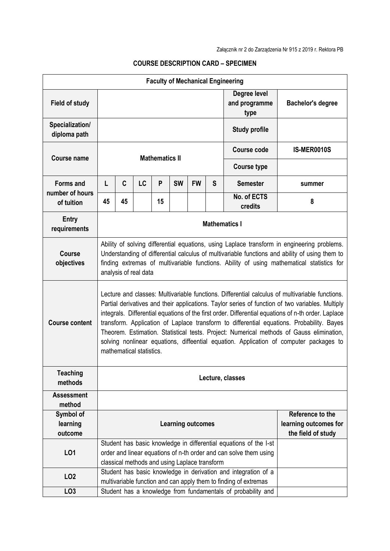| <b>Faculty of Mechanical Engineering</b>          |                                                                                                                                                                                                                                                                                                                                                                                                                                                                                                                                                                                                                           |    |           |    |                                               |           |                                                                 |                                                                                                                                        |                    |  |  |  |
|---------------------------------------------------|---------------------------------------------------------------------------------------------------------------------------------------------------------------------------------------------------------------------------------------------------------------------------------------------------------------------------------------------------------------------------------------------------------------------------------------------------------------------------------------------------------------------------------------------------------------------------------------------------------------------------|----|-----------|----|-----------------------------------------------|-----------|-----------------------------------------------------------------|----------------------------------------------------------------------------------------------------------------------------------------|--------------------|--|--|--|
| <b>Field of study</b>                             |                                                                                                                                                                                                                                                                                                                                                                                                                                                                                                                                                                                                                           |    |           |    |                                               |           | Degree level<br>and programme<br>type                           | <b>Bachelor's degree</b>                                                                                                               |                    |  |  |  |
| Specialization/<br>diploma path                   |                                                                                                                                                                                                                                                                                                                                                                                                                                                                                                                                                                                                                           |    |           |    |                                               |           | <b>Study profile</b>                                            |                                                                                                                                        |                    |  |  |  |
| <b>Course name</b>                                | <b>Mathematics II</b>                                                                                                                                                                                                                                                                                                                                                                                                                                                                                                                                                                                                     |    |           |    |                                               |           |                                                                 | <b>Course code</b>                                                                                                                     | <b>IS-MER0010S</b> |  |  |  |
|                                                   |                                                                                                                                                                                                                                                                                                                                                                                                                                                                                                                                                                                                                           |    |           |    |                                               |           |                                                                 | <b>Course type</b>                                                                                                                     |                    |  |  |  |
| <b>Forms and</b><br>number of hours<br>of tuition | L                                                                                                                                                                                                                                                                                                                                                                                                                                                                                                                                                                                                                         | C  | <b>LC</b> | P  | <b>SW</b>                                     | <b>FW</b> | S                                                               | <b>Semester</b>                                                                                                                        | summer             |  |  |  |
|                                                   | 45                                                                                                                                                                                                                                                                                                                                                                                                                                                                                                                                                                                                                        | 45 |           | 15 |                                               |           |                                                                 | No. of ECTS<br>credits                                                                                                                 | 8                  |  |  |  |
| <b>Entry</b><br>requirements                      | <b>Mathematics I</b>                                                                                                                                                                                                                                                                                                                                                                                                                                                                                                                                                                                                      |    |           |    |                                               |           |                                                                 |                                                                                                                                        |                    |  |  |  |
| <b>Course</b><br>objectives                       | Ability of solving differential equations, using Laplace transform in engineering problems.<br>Understanding of differential calculus of multivariable functions and ability of using them to<br>finding extremas of multivariable functions. Ability of using mathematical statistics for<br>analysis of real data                                                                                                                                                                                                                                                                                                       |    |           |    |                                               |           |                                                                 |                                                                                                                                        |                    |  |  |  |
| <b>Course content</b>                             | Lecture and classes: Multivariable functions. Differential calculus of multivariable functions.<br>Partial derivatives and their applications. Taylor series of function of two variables. Multiply<br>integrals. Differential equations of the first order. Differential equations of n-th order. Laplace<br>transform. Application of Laplace transform to differential equations. Probability. Bayes<br>Theorem. Estimation. Statistical tests. Project: Numerical methods of Gauss elimination,<br>solving nonlinear equations, diffeential equation. Application of computer packages to<br>mathematical statistics. |    |           |    |                                               |           |                                                                 |                                                                                                                                        |                    |  |  |  |
| <b>Teaching</b><br>methods                        | Lecture, classes                                                                                                                                                                                                                                                                                                                                                                                                                                                                                                                                                                                                          |    |           |    |                                               |           |                                                                 |                                                                                                                                        |                    |  |  |  |
| <b>Assessment</b><br>method                       |                                                                                                                                                                                                                                                                                                                                                                                                                                                                                                                                                                                                                           |    |           |    |                                               |           |                                                                 |                                                                                                                                        |                    |  |  |  |
| Symbol of<br>learning<br>outcome                  | <b>Learning outcomes</b>                                                                                                                                                                                                                                                                                                                                                                                                                                                                                                                                                                                                  |    |           |    |                                               |           | Reference to the<br>learning outcomes for<br>the field of study |                                                                                                                                        |                    |  |  |  |
| L01                                               |                                                                                                                                                                                                                                                                                                                                                                                                                                                                                                                                                                                                                           |    |           |    | classical methods and using Laplace transform |           |                                                                 | Student has basic knowledge in differential equations of the I-st<br>order and linear equations of n-th order and can solve them using |                    |  |  |  |
| LO <sub>2</sub>                                   |                                                                                                                                                                                                                                                                                                                                                                                                                                                                                                                                                                                                                           |    |           |    |                                               |           |                                                                 | Student has basic knowledge in derivation and integration of a<br>multivariable function and can apply them to finding of extremas     |                    |  |  |  |
| LO <sub>3</sub>                                   |                                                                                                                                                                                                                                                                                                                                                                                                                                                                                                                                                                                                                           |    |           |    |                                               |           |                                                                 | Student has a knowledge from fundamentals of probability and                                                                           |                    |  |  |  |

## **COURSE DESCRIPTION CARD – SPECIMEN**